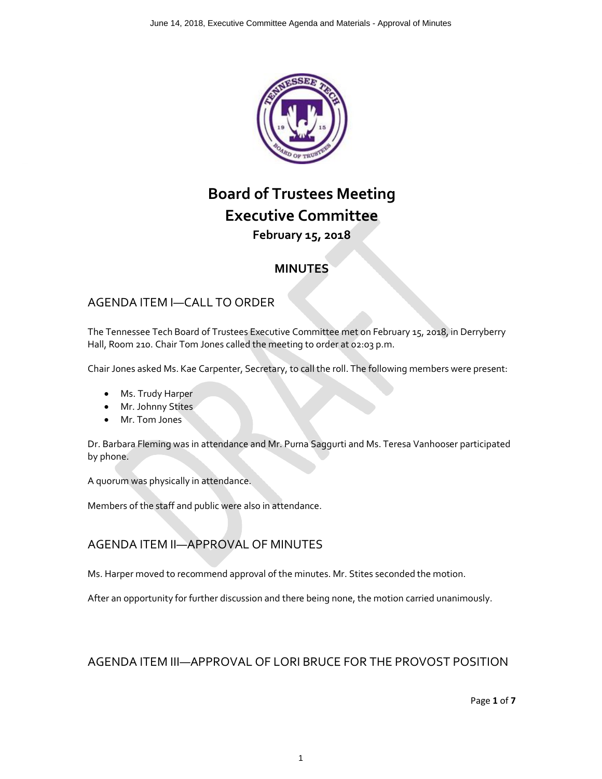

## **Board of Trustees Meeting Executive Committee February 15, 2018**

## **MINUTES**

## AGENDA ITEM I—CALL TO ORDER

The Tennessee Tech Board of Trustees Executive Committee met on February 15, 2018, in Derryberry Hall, Room 210. Chair Tom Jones called the meeting to order at 02:03 p.m.

Chair Jones asked Ms. Kae Carpenter, Secretary, to call the roll. The following members were present:

- Ms. Trudy Harper
- Mr. Johnny Stites
- Mr. Tom Jones

Dr. Barbara Fleming was in attendance and Mr. Purna Saggurti and Ms. Teresa Vanhooser participated by phone.

A quorum was physically in attendance.

Members of the staff and public were also in attendance.

## AGENDA ITEM II—APPROVAL OF MINUTES

Ms. Harper moved to recommend approval of the minutes. Mr. Stites seconded the motion.

After an opportunity for further discussion and there being none, the motion carried unanimously.

### AGENDA ITEM III—APPROVAL OF LORI BRUCE FOR THE PROVOST POSITION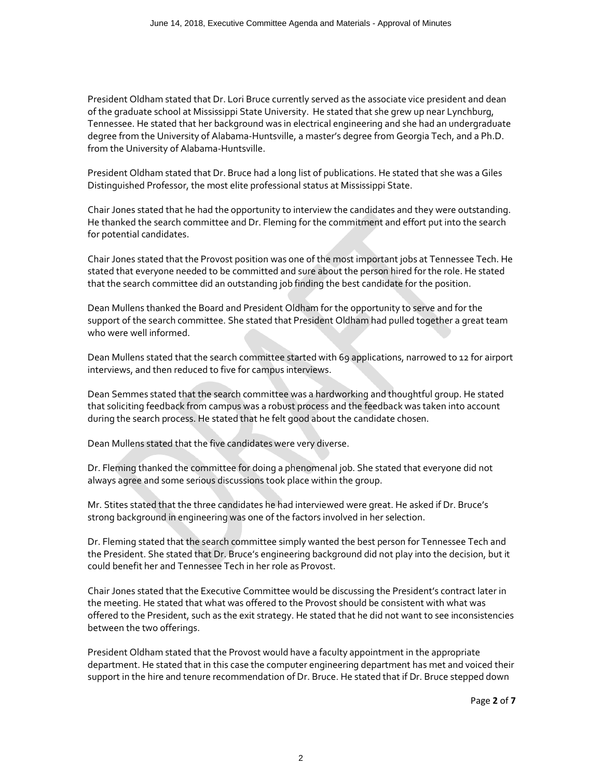President Oldham stated that Dr. Lori Bruce currently served as the associate vice president and dean of the graduate school at Mississippi State University. He stated that she grew up near Lynchburg, Tennessee. He stated that her background was in electrical engineering and she had an undergraduate degree from the University of Alabama-Huntsville, a master's degree from Georgia Tech, and a Ph.D. from the University of Alabama-Huntsville.

President Oldham stated that Dr. Bruce had a long list of publications. He stated that she was a Giles Distinguished Professor, the most elite professional status at Mississippi State.

Chair Jones stated that he had the opportunity to interview the candidates and they were outstanding. He thanked the search committee and Dr. Fleming for the commitment and effort put into the search for potential candidates.

Chair Jones stated that the Provost position was one of the most important jobs at Tennessee Tech. He stated that everyone needed to be committed and sure about the person hired for the role. He stated that the search committee did an outstanding job finding the best candidate for the position.

Dean Mullens thanked the Board and President Oldham for the opportunity to serve and for the support of the search committee. She stated that President Oldham had pulled together a great team who were well informed.

Dean Mullens stated that the search committee started with 69 applications, narrowed to 12 for airport interviews, and then reduced to five for campus interviews.

Dean Semmes stated that the search committee was a hardworking and thoughtful group. He stated that soliciting feedback from campus was a robust process and the feedback was taken into account during the search process. He stated that he felt good about the candidate chosen.

Dean Mullens stated that the five candidates were very diverse.

Dr. Fleming thanked the committee for doing a phenomenal job. She stated that everyone did not always agree and some serious discussions took place within the group.

Mr. Stites stated that the three candidates he had interviewed were great. He asked if Dr. Bruce's strong background in engineering was one of the factors involved in her selection.

Dr. Fleming stated that the search committee simply wanted the best person for Tennessee Tech and the President. She stated that Dr. Bruce's engineering background did not play into the decision, but it could benefit her and Tennessee Tech in her role as Provost.

Chair Jones stated that the Executive Committee would be discussing the President's contract later in the meeting. He stated that what was offered to the Provost should be consistent with what was offered to the President, such as the exit strategy. He stated that he did not want to see inconsistencies between the two offerings.

President Oldham stated that the Provost would have a faculty appointment in the appropriate department. He stated that in this case the computer engineering department has met and voiced their support in the hire and tenure recommendation of Dr. Bruce. He stated that if Dr. Bruce stepped down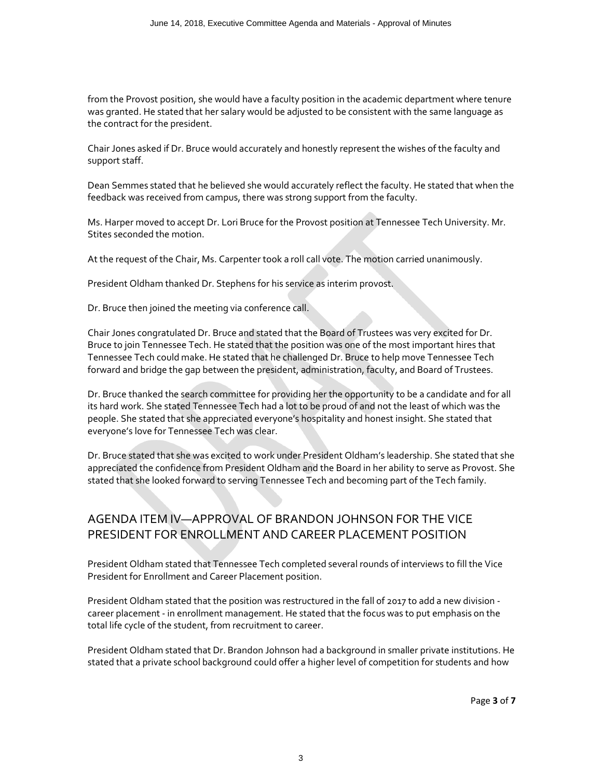from the Provost position, she would have a faculty position in the academic department where tenure was granted. He stated that her salary would be adjusted to be consistent with the same language as the contract for the president.

Chair Jones asked if Dr. Bruce would accurately and honestly represent the wishes of the faculty and support staff.

Dean Semmes stated that he believed she would accurately reflect the faculty. He stated that when the feedback was received from campus, there was strong support from the faculty.

Ms. Harper moved to accept Dr. Lori Bruce for the Provost position at Tennessee Tech University. Mr. Stites seconded the motion.

At the request of the Chair, Ms. Carpenter took a roll call vote. The motion carried unanimously.

President Oldham thanked Dr. Stephens for his service as interim provost.

Dr. Bruce then joined the meeting via conference call.

Chair Jones congratulated Dr. Bruce and stated that the Board of Trustees was very excited for Dr. Bruce to join Tennessee Tech. He stated that the position was one of the most important hires that Tennessee Tech could make. He stated that he challenged Dr. Bruce to help move Tennessee Tech forward and bridge the gap between the president, administration, faculty, and Board of Trustees.

Dr. Bruce thanked the search committee for providing her the opportunity to be a candidate and for all its hard work. She stated Tennessee Tech had a lot to be proud of and not the least of which was the people. She stated that she appreciated everyone's hospitality and honest insight. She stated that everyone's love for Tennessee Tech was clear.

Dr. Bruce stated that she was excited to work under President Oldham's leadership. She stated that she appreciated the confidence from President Oldham and the Board in her ability to serve as Provost. She stated that she looked forward to serving Tennessee Tech and becoming part of the Tech family.

## AGENDA ITEM IV—APPROVAL OF BRANDON JOHNSON FOR THE VICE PRESIDENT FOR ENROLLMENT AND CAREER PLACEMENT POSITION

President Oldham stated that Tennessee Tech completed several rounds of interviews to fill the Vice President for Enrollment and Career Placement position.

President Oldham stated that the position was restructured in the fall of 2017 to add a new division career placement - in enrollment management. He stated that the focus was to put emphasis on the total life cycle of the student, from recruitment to career.

President Oldham stated that Dr. Brandon Johnson had a background in smaller private institutions. He stated that a private school background could offer a higher level of competition for students and how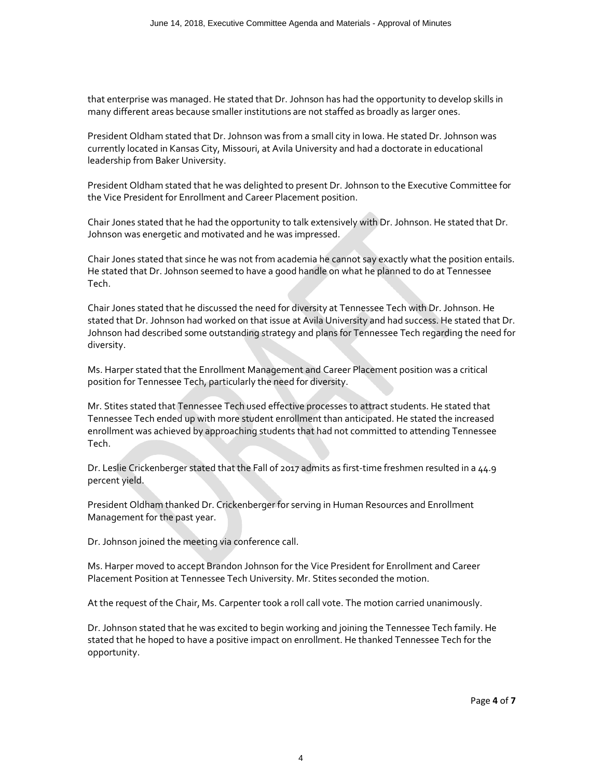that enterprise was managed. He stated that Dr. Johnson has had the opportunity to develop skills in many different areas because smaller institutions are not staffed as broadly as larger ones.

President Oldham stated that Dr. Johnson was from a small city in Iowa. He stated Dr. Johnson was currently located in Kansas City, Missouri, at Avila University and had a doctorate in educational leadership from Baker University.

President Oldham stated that he was delighted to present Dr. Johnson to the Executive Committee for the Vice President for Enrollment and Career Placement position.

Chair Jones stated that he had the opportunity to talk extensively with Dr. Johnson. He stated that Dr. Johnson was energetic and motivated and he was impressed.

Chair Jones stated that since he was not from academia he cannot say exactly what the position entails. He stated that Dr. Johnson seemed to have a good handle on what he planned to do at Tennessee Tech.

Chair Jones stated that he discussed the need for diversity at Tennessee Tech with Dr. Johnson. He stated that Dr. Johnson had worked on that issue at Avila University and had success. He stated that Dr. Johnson had described some outstanding strategy and plans for Tennessee Tech regarding the need for diversity.

Ms. Harper stated that the Enrollment Management and Career Placement position was a critical position for Tennessee Tech, particularly the need for diversity.

Mr. Stites stated that Tennessee Tech used effective processes to attract students. He stated that Tennessee Tech ended up with more student enrollment than anticipated. He stated the increased enrollment was achieved by approaching students that had not committed to attending Tennessee Tech.

Dr. Leslie Crickenberger stated that the Fall of 2017 admits as first-time freshmen resulted in a 44.9 percent yield.

President Oldham thanked Dr. Crickenberger for serving in Human Resources and Enrollment Management for the past year.

Dr. Johnson joined the meeting via conference call.

Ms. Harper moved to accept Brandon Johnson for the Vice President for Enrollment and Career Placement Position at Tennessee Tech University. Mr. Stites seconded the motion.

At the request of the Chair, Ms. Carpenter took a roll call vote. The motion carried unanimously.

Dr. Johnson stated that he was excited to begin working and joining the Tennessee Tech family. He stated that he hoped to have a positive impact on enrollment. He thanked Tennessee Tech for the opportunity.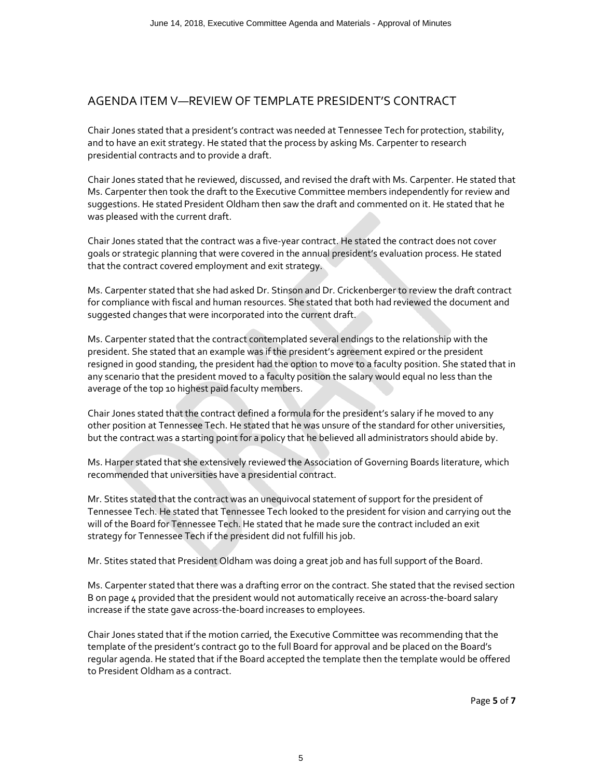### AGENDA ITEM V—REVIEW OF TEMPLATE PRESIDENT'S CONTRACT

Chair Jones stated that a president's contract was needed at Tennessee Tech for protection, stability, and to have an exit strategy. He stated that the process by asking Ms. Carpenter to research presidential contracts and to provide a draft.

Chair Jones stated that he reviewed, discussed, and revised the draft with Ms. Carpenter. He stated that Ms. Carpenter then took the draft to the Executive Committee members independently for review and suggestions. He stated President Oldham then saw the draft and commented on it. He stated that he was pleased with the current draft.

Chair Jones stated that the contract was a five-year contract. He stated the contract does not cover goals or strategic planning that were covered in the annual president's evaluation process. He stated that the contract covered employment and exit strategy.

Ms. Carpenter stated that she had asked Dr. Stinson and Dr. Crickenberger to review the draft contract for compliance with fiscal and human resources. She stated that both had reviewed the document and suggested changes that were incorporated into the current draft.

Ms. Carpenter stated that the contract contemplated several endings to the relationship with the president. She stated that an example was if the president's agreement expired or the president resigned in good standing, the president had the option to move to a faculty position. She stated that in any scenario that the president moved to a faculty position the salary would equal no less than the average of the top 10 highest paid faculty members.

Chair Jones stated that the contract defined a formula for the president's salary if he moved to any other position at Tennessee Tech. He stated that he was unsure of the standard for other universities, but the contract was a starting point for a policy that he believed all administrators should abide by.

Ms. Harper stated that she extensively reviewed the Association of Governing Boards literature, which recommended that universities have a presidential contract.

Mr. Stites stated that the contract was an unequivocal statement of support for the president of Tennessee Tech. He stated that Tennessee Tech looked to the president for vision and carrying out the will of the Board for Tennessee Tech. He stated that he made sure the contract included an exit strategy for Tennessee Tech if the president did not fulfill his job.

Mr. Stites stated that President Oldham was doing a great job and has full support of the Board.

Ms. Carpenter stated that there was a drafting error on the contract. She stated that the revised section B on page 4 provided that the president would not automatically receive an across-the-board salary increase if the state gave across-the-board increases to employees.

Chair Jones stated that if the motion carried, the Executive Committee was recommending that the template of the president's contract go to the full Board for approval and be placed on the Board's regular agenda. He stated that if the Board accepted the template then the template would be offered to President Oldham as a contract.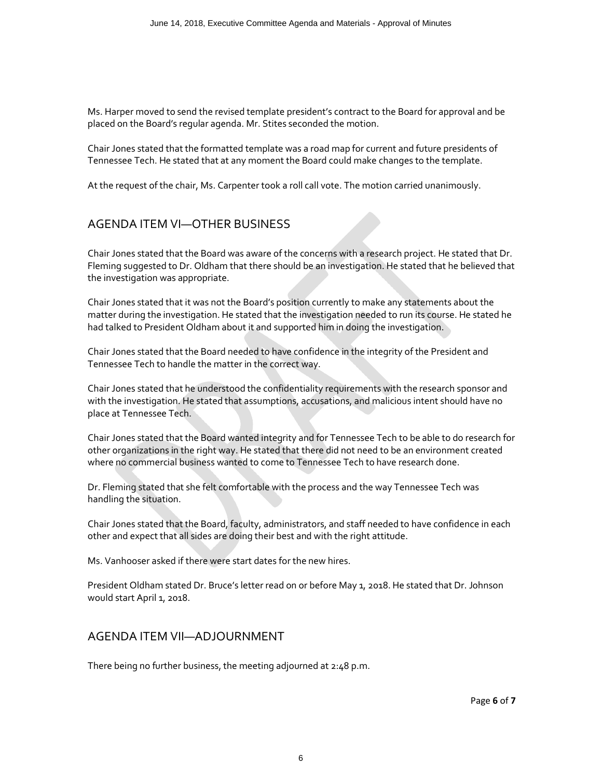Ms. Harper moved to send the revised template president's contract to the Board for approval and be placed on the Board's regular agenda. Mr. Stites seconded the motion.

Chair Jones stated that the formatted template was a road map for current and future presidents of Tennessee Tech. He stated that at any moment the Board could make changes to the template.

At the request of the chair, Ms. Carpenter took a roll call vote. The motion carried unanimously.

### AGENDA ITEM VI—OTHER BUSINESS

Chair Jones stated that the Board was aware of the concerns with a research project. He stated that Dr. Fleming suggested to Dr. Oldham that there should be an investigation. He stated that he believed that the investigation was appropriate.

Chair Jones stated that it was not the Board's position currently to make any statements about the matter during the investigation. He stated that the investigation needed to run its course. He stated he had talked to President Oldham about it and supported him in doing the investigation.

Chair Jones stated that the Board needed to have confidence in the integrity of the President and Tennessee Tech to handle the matter in the correct way.

Chair Jones stated that he understood the confidentiality requirements with the research sponsor and with the investigation. He stated that assumptions, accusations, and malicious intent should have no place at Tennessee Tech.

Chair Jones stated that the Board wanted integrity and for Tennessee Tech to be able to do research for other organizations in the right way. He stated that there did not need to be an environment created where no commercial business wanted to come to Tennessee Tech to have research done.

Dr. Fleming stated that she felt comfortable with the process and the way Tennessee Tech was handling the situation.

Chair Jones stated that the Board, faculty, administrators, and staff needed to have confidence in each other and expect that all sides are doing their best and with the right attitude.

Ms. Vanhooser asked if there were start dates for the new hires.

President Oldham stated Dr. Bruce's letter read on or before May 1, 2018. He stated that Dr. Johnson would start April 1, 2018.

#### AGENDA ITEM VII—ADJOURNMENT

There being no further business, the meeting adjourned at 2:48 p.m.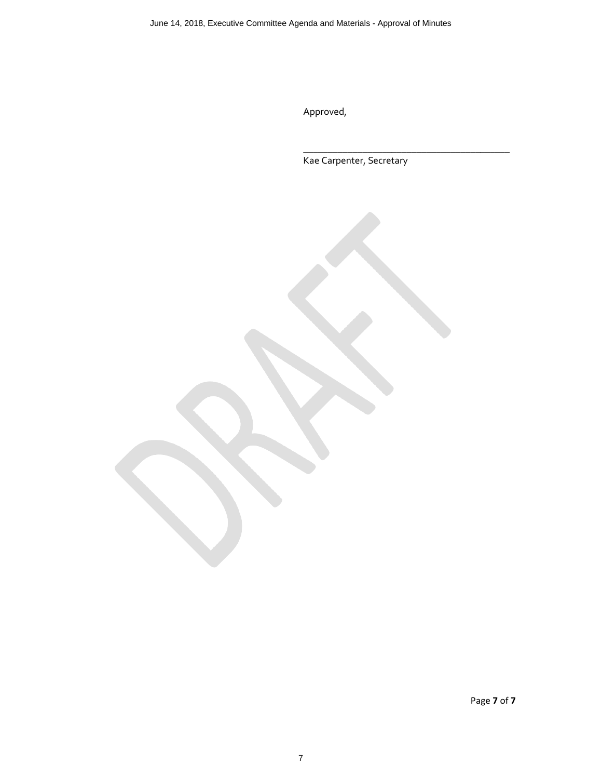Approved,

Kae Carpenter, Secretary

**\_\_\_\_\_\_\_\_\_\_\_\_\_\_\_\_\_\_\_\_\_\_\_\_\_\_\_\_\_\_\_\_\_\_\_\_\_\_\_\_\_\_**

Page **7** of **7**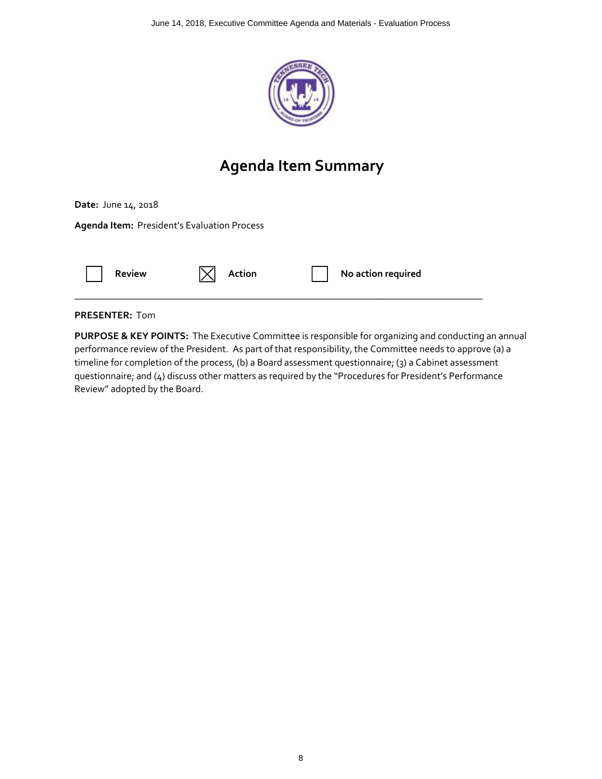

## **Agenda Item Summary**

**Date:** June 14, 2018

**Agenda Item:** President's Evaluation Process



#### **PRESENTER:** Tom

**PURPOSE & KEY POINTS:** The Executive Committee is responsible for organizing and conducting an annual performance review of the President. As part of that responsibility, the Committee needs to approve (a) a timeline for completion of the process, (b) a Board assessment questionnaire; (3) a Cabinet assessment questionnaire; and (4) discuss other matters as required by the "Procedures for President's Performance Review" adopted by the Board.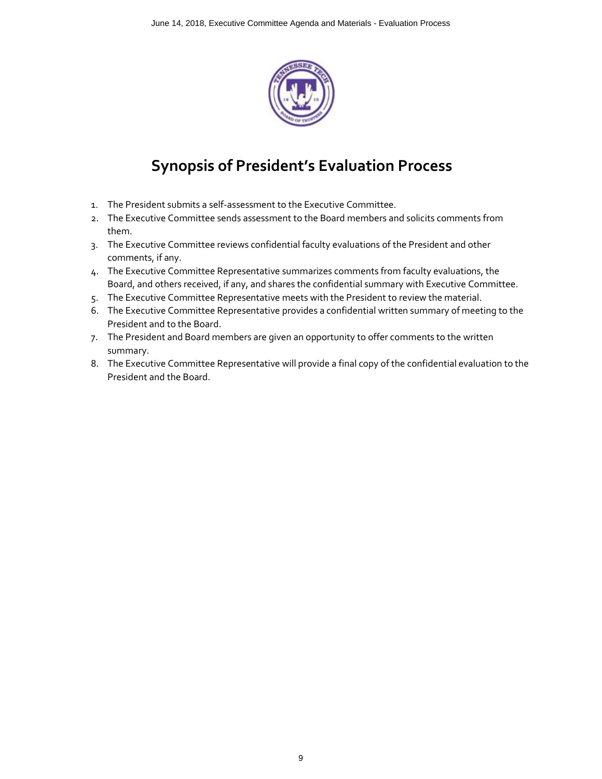

## **Synopsis of President's Evaluation Process**

- 1. The President submits a self-assessment to the Executive Committee.
- 2. The Executive Committee sends assessment to the Board members and solicits comments from them.
- 3. The Executive Committee reviews confidential faculty evaluations of the President and other comments, if any.
- 4. The Executive Committee Representative summarizes comments from faculty evaluations, the Board, and others received, if any, and shares the confidential summary with Executive Committee.
- 5. The Executive Committee Representative meets with the President to review the material.
- 6. The Executive Committee Representative provides a confidential written summary of meeting to the President and to the Board.
- 7. The President and Board members are given an opportunity to offer comments to the written summary.
- 8. The Executive Committee Representative will provide a final copy of the confidential evaluation to the President and the Board.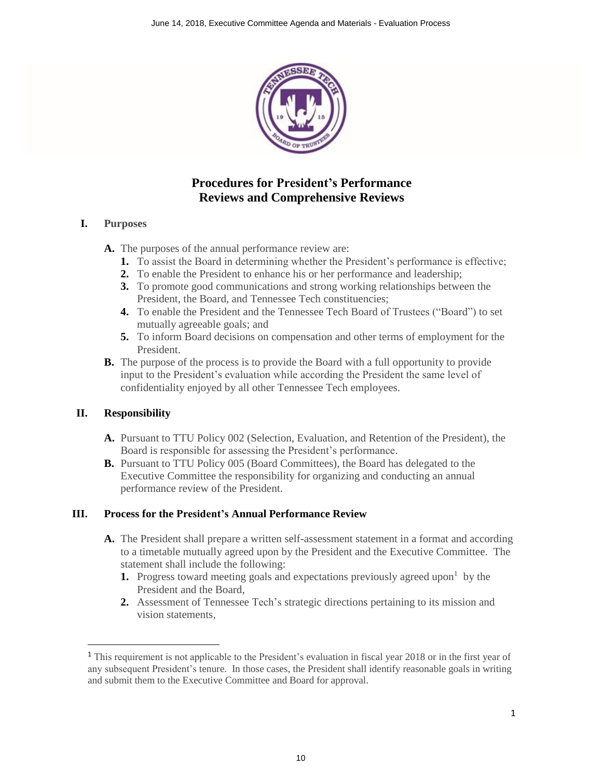

## **Procedures for President's Performance Reviews and Comprehensive Reviews**

#### **I. Purposes**

**A.** The purposes of the annual performance review are:

- **1.** To assist the Board in determining whether the President's performance is effective;
- **2.** To enable the President to enhance his or her performance and leadership;
- **3.** To promote good communications and strong working relationships between the President, the Board, and Tennessee Tech constituencies;
- **4.** To enable the President and the Tennessee Tech Board of Trustees ("Board") to set mutually agreeable goals; and
- **5.** To inform Board decisions on compensation and other terms of employment for the President.
- **B.** The purpose of the process is to provide the Board with a full opportunity to provide input to the President's evaluation while according the President the same level of confidentiality enjoyed by all other Tennessee Tech employees.

#### **II. Responsibility**

-

- **A.** Pursuant to TTU Policy 002 (Selection, Evaluation, and Retention of the President), the Board is responsible for assessing the President's performance.
- **B.** Pursuant to TTU Policy 005 (Board Committees), the Board has delegated to the Executive Committee the responsibility for organizing and conducting an annual performance review of the President.

#### **III. Process for the President's Annual Performance Review**

- **A.** The President shall prepare a written self-assessment statement in a format and according to a timetable mutually agreed upon by the President and the Executive Committee. The statement shall include the following:
	- **1.** Progress toward meeting goals and expectations previously agreed upon<sup>1</sup> by the President and the Board,
	- **2.** Assessment of Tennessee Tech's strategic directions pertaining to its mission and vision statements,

<sup>1</sup> This requirement is not applicable to the President's evaluation in fiscal year 2018 or in the first year of any subsequent President's tenure. In those cases, the President shall identify reasonable goals in writing and submit them to the Executive Committee and Board for approval.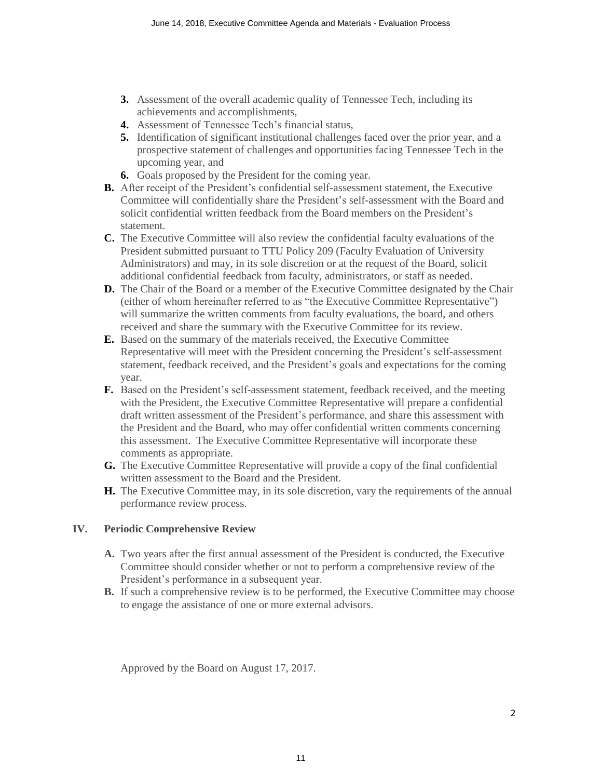- **3.** Assessment of the overall academic quality of Tennessee Tech, including its achievements and accomplishments,
- **4.** Assessment of Tennessee Tech's financial status,
- **5.** Identification of significant institutional challenges faced over the prior year, and a prospective statement of challenges and opportunities facing Tennessee Tech in the upcoming year, and
- **6.** Goals proposed by the President for the coming year.
- **B.** After receipt of the President's confidential self-assessment statement, the Executive Committee will confidentially share the President's self-assessment with the Board and solicit confidential written feedback from the Board members on the President's statement.
- **C.** The Executive Committee will also review the confidential faculty evaluations of the President submitted pursuant to TTU Policy 209 (Faculty Evaluation of University Administrators) and may, in its sole discretion or at the request of the Board, solicit additional confidential feedback from faculty, administrators, or staff as needed.
- **D.** The Chair of the Board or a member of the Executive Committee designated by the Chair (either of whom hereinafter referred to as "the Executive Committee Representative") will summarize the written comments from faculty evaluations, the board, and others received and share the summary with the Executive Committee for its review.
- **E.** Based on the summary of the materials received, the Executive Committee Representative will meet with the President concerning the President's self-assessment statement, feedback received, and the President's goals and expectations for the coming year.
- **F.** Based on the President's self-assessment statement, feedback received, and the meeting with the President, the Executive Committee Representative will prepare a confidential draft written assessment of the President's performance, and share this assessment with the President and the Board, who may offer confidential written comments concerning this assessment. The Executive Committee Representative will incorporate these comments as appropriate.
- **G.** The Executive Committee Representative will provide a copy of the final confidential written assessment to the Board and the President.
- **H.** The Executive Committee may, in its sole discretion, vary the requirements of the annual performance review process.

#### **IV. Periodic Comprehensive Review**

- **A.** Two years after the first annual assessment of the President is conducted, the Executive Committee should consider whether or not to perform a comprehensive review of the President's performance in a subsequent year.
- **B.** If such a comprehensive review is to be performed, the Executive Committee may choose to engage the assistance of one or more external advisors.

Approved by the Board on August 17, 2017.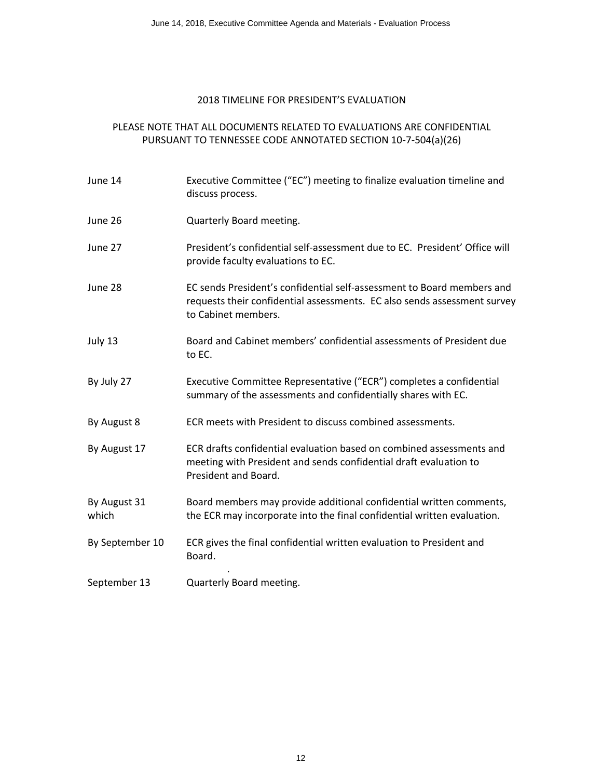#### 2018 TIMELINE FOR PRESIDENT'S EVALUATION

#### PLEASE NOTE THAT ALL DOCUMENTS RELATED TO EVALUATIONS ARE CONFIDENTIAL PURSUANT TO TENNESSEE CODE ANNOTATED SECTION 10-7-504(a)(26)

| June 14               | Executive Committee ("EC") meeting to finalize evaluation timeline and<br>discuss process.                                                                                |
|-----------------------|---------------------------------------------------------------------------------------------------------------------------------------------------------------------------|
| June 26               | Quarterly Board meeting.                                                                                                                                                  |
| June 27               | President's confidential self-assessment due to EC. President' Office will<br>provide faculty evaluations to EC.                                                          |
| June 28               | EC sends President's confidential self-assessment to Board members and<br>requests their confidential assessments. EC also sends assessment survey<br>to Cabinet members. |
| July 13               | Board and Cabinet members' confidential assessments of President due<br>to EC.                                                                                            |
| By July 27            | Executive Committee Representative ("ECR") completes a confidential<br>summary of the assessments and confidentially shares with EC.                                      |
| By August 8           | ECR meets with President to discuss combined assessments.                                                                                                                 |
| By August 17          | ECR drafts confidential evaluation based on combined assessments and<br>meeting with President and sends confidential draft evaluation to<br>President and Board.         |
| By August 31<br>which | Board members may provide additional confidential written comments,<br>the ECR may incorporate into the final confidential written evaluation.                            |
| By September 10       | ECR gives the final confidential written evaluation to President and<br>Board.                                                                                            |
| September 13          | Quarterly Board meeting.                                                                                                                                                  |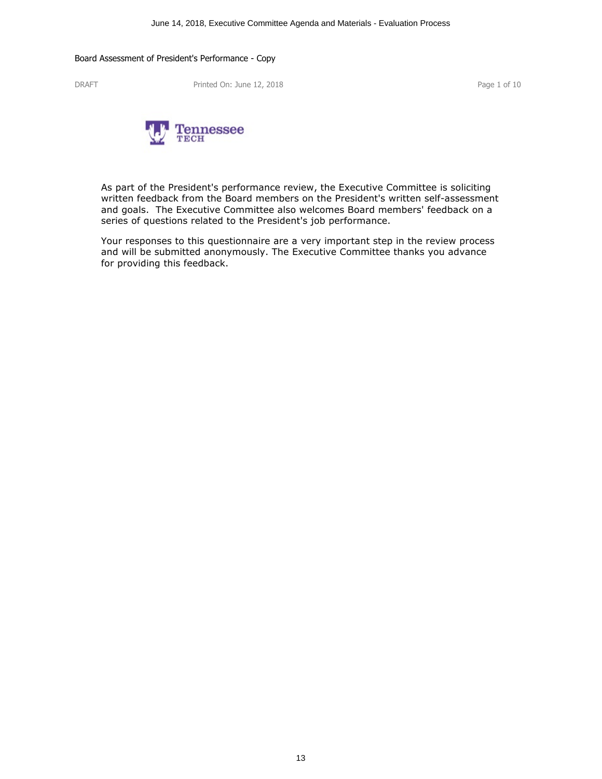DRAFT Printed On: June 12, 2018 Printed On: June 12, 2018



As part of the President's performance review, the Executive Committee is soliciting written feedback from the Board members on the President's written self-assessment and goals. The Executive Committee also welcomes Board members' feedback on a series of questions related to the President's job performance.

Your responses to this questionnaire are a very important step in the review process and will be submitted anonymously. The Executive Committee thanks you advance for providing this feedback.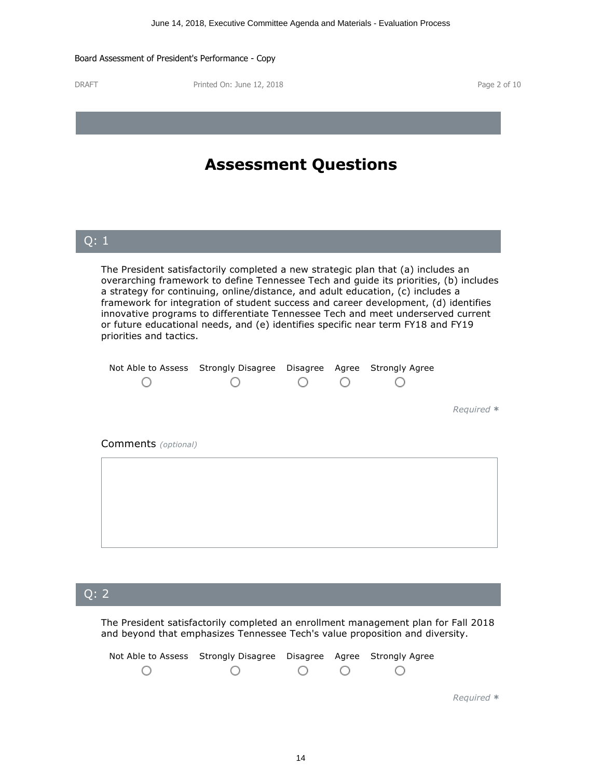DRAFT Printed On: June 12, 2018 Printed On: June 12, 2018

| <b>Assessment Questions</b>                                                                                                                                                                                                                                                                                                                                                                                                                                                                                                                            |                                  |  |  |                       |            |  |
|--------------------------------------------------------------------------------------------------------------------------------------------------------------------------------------------------------------------------------------------------------------------------------------------------------------------------------------------------------------------------------------------------------------------------------------------------------------------------------------------------------------------------------------------------------|----------------------------------|--|--|-----------------------|------------|--|
| $\overline{Q}$ : 1                                                                                                                                                                                                                                                                                                                                                                                                                                                                                                                                     |                                  |  |  |                       |            |  |
| The President satisfactorily completed a new strategic plan that (a) includes an<br>overarching framework to define Tennessee Tech and guide its priorities, (b) includes<br>a strategy for continuing, online/distance, and adult education, (c) includes a<br>framework for integration of student success and career development, (d) identifies<br>innovative programs to differentiate Tennessee Tech and meet underserved current<br>or future educational needs, and (e) identifies specific near term FY18 and FY19<br>priorities and tactics. |                                  |  |  |                       |            |  |
| Not Able to Assess                                                                                                                                                                                                                                                                                                                                                                                                                                                                                                                                     | Strongly Disagree Disagree Agree |  |  | <b>Strongly Agree</b> |            |  |
|                                                                                                                                                                                                                                                                                                                                                                                                                                                                                                                                                        |                                  |  |  |                       | Required * |  |
| Comments (optional)                                                                                                                                                                                                                                                                                                                                                                                                                                                                                                                                    |                                  |  |  |                       |            |  |
|                                                                                                                                                                                                                                                                                                                                                                                                                                                                                                                                                        |                                  |  |  |                       |            |  |
|                                                                                                                                                                                                                                                                                                                                                                                                                                                                                                                                                        |                                  |  |  |                       |            |  |

## Q: <sup>2</sup>|

The President satisfactorily completed an enrollment management plan for Fall 2018 and beyond that emphasizes Tennessee Tech's value proposition and diversity.

| Not Able to Assess Strongly Disagree Disagree Agree Strongly Agree |                                                                     |  |  |
|--------------------------------------------------------------------|---------------------------------------------------------------------|--|--|
| $\left( \begin{array}{c} \lambda \\ \lambda \end{array} \right)$   | $\begin{array}{ccccccccccccccccc}\n0 & 0 & 0 & 0 & 0 & \end{array}$ |  |  |
|                                                                    |                                                                     |  |  |

*Required \**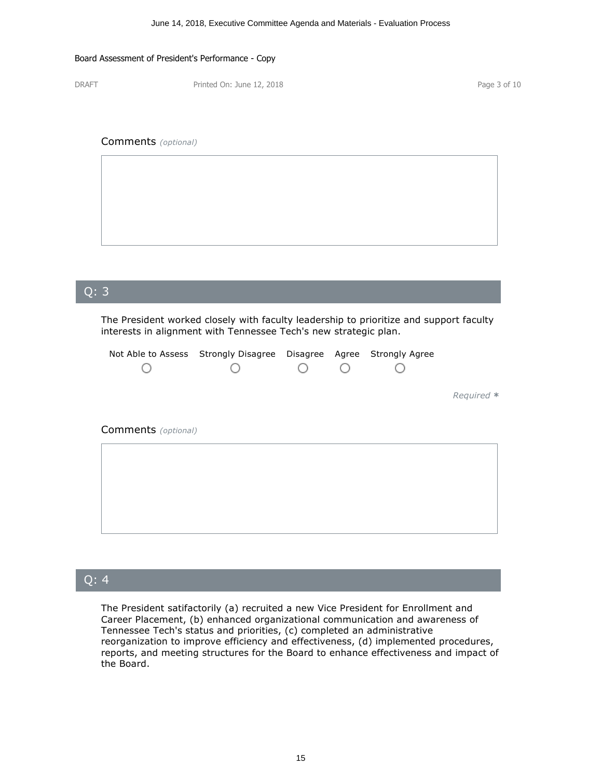DRAFT Printed On: June 12, 2018 Printed On: June 12, 2018

#### Comments *(optional)*



# Q: <sup>3</sup>| The President worked closely with faculty leadership to prioritize and support faculty interests in alignment with Tennessee Tech's new strategic plan. Not Able to Assess Strongly Disagree Disagree Agree Strongly Agree O O  $\bigcirc$ О О *Required \** Comments *(optional)*

### Q: <sup>4</sup>|

The President satifactorily (a) recruited a new Vice President for Enrollment and Career Placement, (b) enhanced organizational communication and awareness of Tennessee Tech's status and priorities, (c) completed an administrative reports, and meeting structures for the Board to enhance effectiveness and impact of the Board.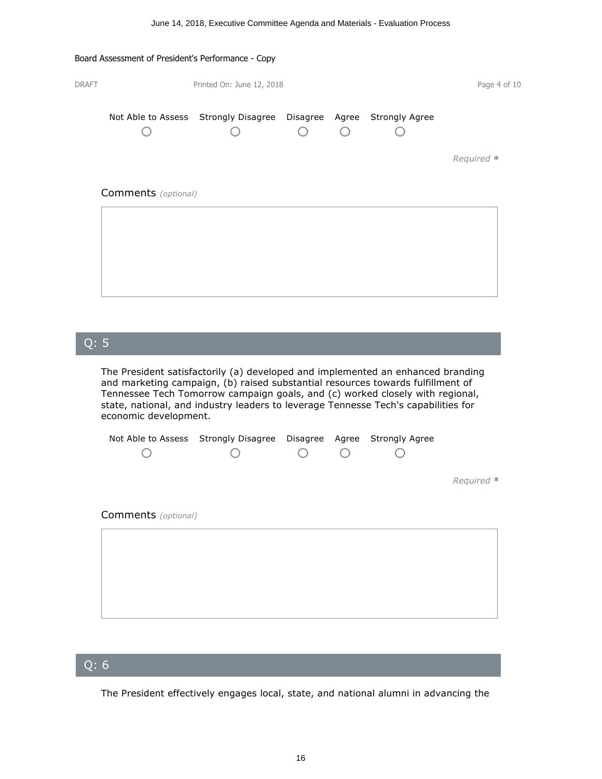| <b>DRAFT</b> |                            | Printed On: June 12, 2018                                          |  | Page 4 of 10 |
|--------------|----------------------------|--------------------------------------------------------------------|--|--------------|
|              |                            | Not Able to Assess Strongly Disagree Disagree Agree Strongly Agree |  |              |
|              |                            |                                                                    |  | Required *   |
|              | <b>Comments</b> (optional) |                                                                    |  |              |
|              |                            |                                                                    |  |              |
|              |                            |                                                                    |  |              |

## Q: <sup>5</sup>|

The President satisfactorily (a) developed and implemented an enhanced branding and marketing campaign, (b) raised substantial resources towards fulfillment of Tennessee Tech Tomorrow campaign goals, and (c) worked closely with regional, state, national, and industry leaders to leverage Tennesse Tech's capabilities for economic development.

|                     | Not Able to Assess Strongly Disagree Disagree Agree Strongly Agree |  |            |
|---------------------|--------------------------------------------------------------------|--|------------|
|                     |                                                                    |  |            |
|                     |                                                                    |  |            |
|                     |                                                                    |  | Required * |
|                     |                                                                    |  |            |
| Comments (optional) |                                                                    |  |            |
|                     |                                                                    |  |            |

## Q: <sup>6</sup>|

The President effectively engages local, state, and national alumni in advancing the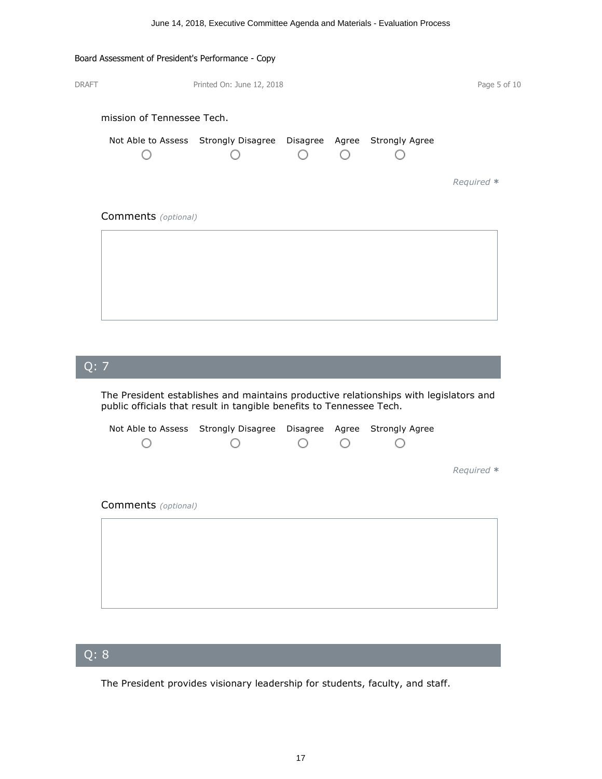|              | Board Assessment of President's Performance - Copy |                                                                    |  |              |
|--------------|----------------------------------------------------|--------------------------------------------------------------------|--|--------------|
| <b>DRAFT</b> |                                                    | Printed On: June 12, 2018                                          |  | Page 5 of 10 |
|              | mission of Tennessee Tech.                         |                                                                    |  |              |
|              |                                                    | Not Able to Assess Strongly Disagree Disagree Agree Strongly Agree |  |              |
|              |                                                    |                                                                    |  | Required *   |
|              | <b>Comments</b> (optional)                         |                                                                    |  |              |
|              |                                                    |                                                                    |  |              |
|              |                                                    |                                                                    |  |              |
|              |                                                    |                                                                    |  |              |
|              |                                                    |                                                                    |  |              |

## Q: <sup>7</sup>|

The President establishes and maintains productive relationships with legislators and public officials that result in tangible benefits to Tennessee Tech.

|                            | Not Able to Assess Strongly Disagree |  | Disagree Agree Strongly Agree |            |
|----------------------------|--------------------------------------|--|-------------------------------|------------|
|                            |                                      |  |                               |            |
|                            |                                      |  |                               |            |
|                            |                                      |  |                               | Required * |
|                            |                                      |  |                               |            |
| <b>Comments</b> (optional) |                                      |  |                               |            |
|                            |                                      |  |                               |            |
|                            |                                      |  |                               |            |
|                            |                                      |  |                               |            |
|                            |                                      |  |                               |            |
|                            |                                      |  |                               |            |
|                            |                                      |  |                               |            |

## Q: <sup>8</sup>|

The President provides visionary leadership for students, faculty, and staff.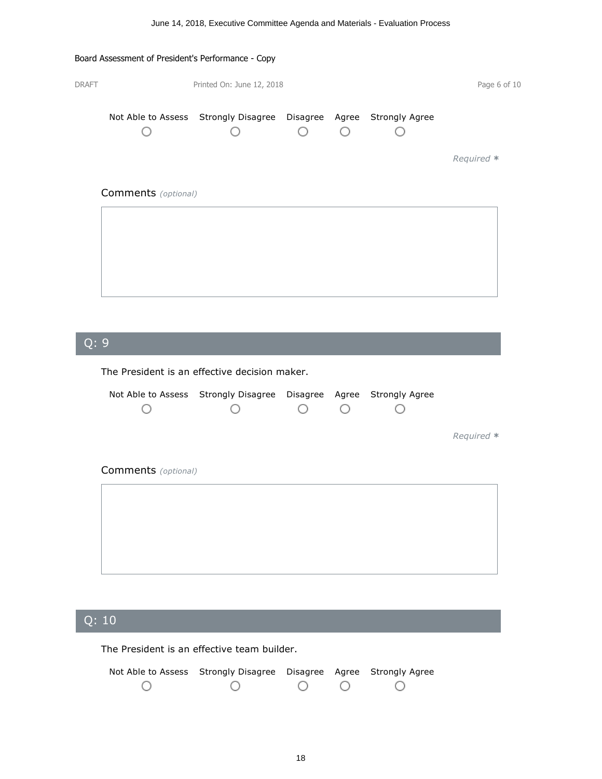# Board Assessment of President's Performance - Copy DRAFT Printed On: June 12, 2018 Printed On: June 12, 2018 Not Able to Assess Strongly Disagree Disagree Agree Strongly Agree O  $\bigcirc$ O O О *Required \** Comments *(optional)*

## Q: <sup>9</sup>|

The President is an effective decision maker.

| Not Able to Assess Strongly Disagree Disagree Agree Strongly Agree |  |  |            |
|--------------------------------------------------------------------|--|--|------------|
|                                                                    |  |  | Required * |
| <b>Comments</b> (optional)                                         |  |  |            |
|                                                                    |  |  |            |
|                                                                    |  |  |            |
|                                                                    |  |  |            |

## Q: <sup>10</sup>|

The President is an effective team builder.

| Not Able to Assess Strongly Disagree Disagree Agree Strongly Agree |                 |  |  |
|--------------------------------------------------------------------|-----------------|--|--|
|                                                                    | $\circ$ $\circ$ |  |  |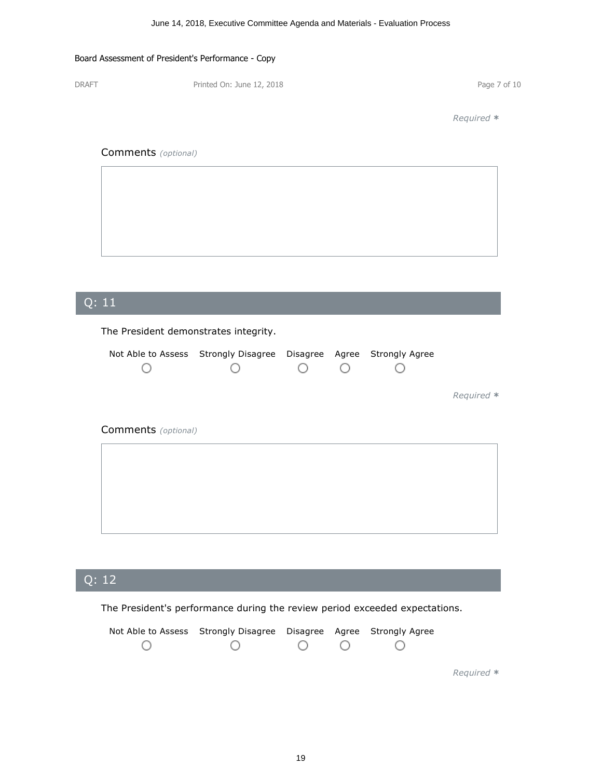DRAFT Printed On: June 12, 2018 Printed On: June 12, 2018

*Required \**

#### Comments *(optional)*

# Q: <sup>11</sup>| The President demonstrates integrity. Not Able to Assess Strongly Disagree Disagree Agree Strongly Agree  $\circ$  $\circ$ O O О *Required \** Comments *(optional)*

## Q: <sup>12</sup>|

The President's performance during the review period exceeded expectations.

| Not Able to Assess Strongly Disagree Disagree Agree Strongly Agree |  |  |
|--------------------------------------------------------------------|--|--|
| $\bigcirc$                                                         |  |  |

*Required \**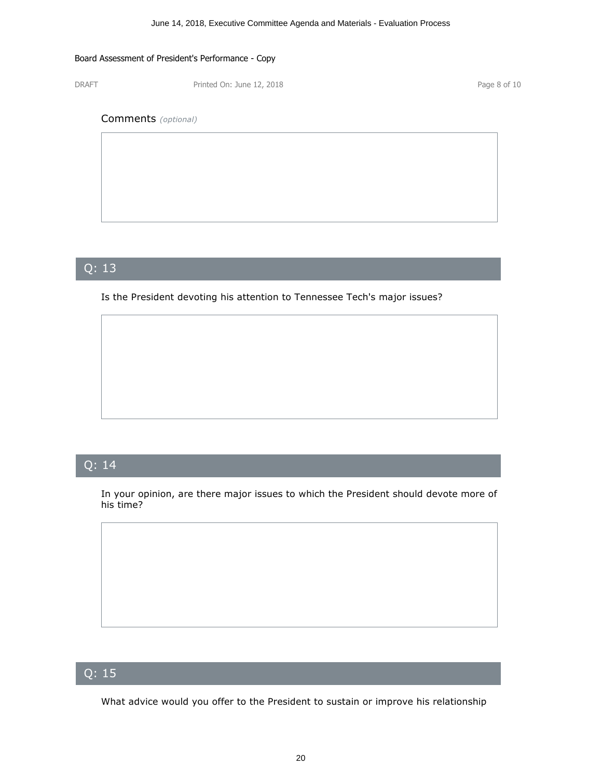DRAFT Printed On: June 12, 2018 Printed On: June 12, 2018

Comments *(optional)*

## Q: <sup>13</sup>|

Is the President devoting his attention to Tennessee Tech's major issues?

## Q: <sup>14</sup>|

In your opinion, are there major issues to which the President should devote more of his time?

## Q: <sup>15</sup>|

What advice would you offer to the President to sustain or improve his relationship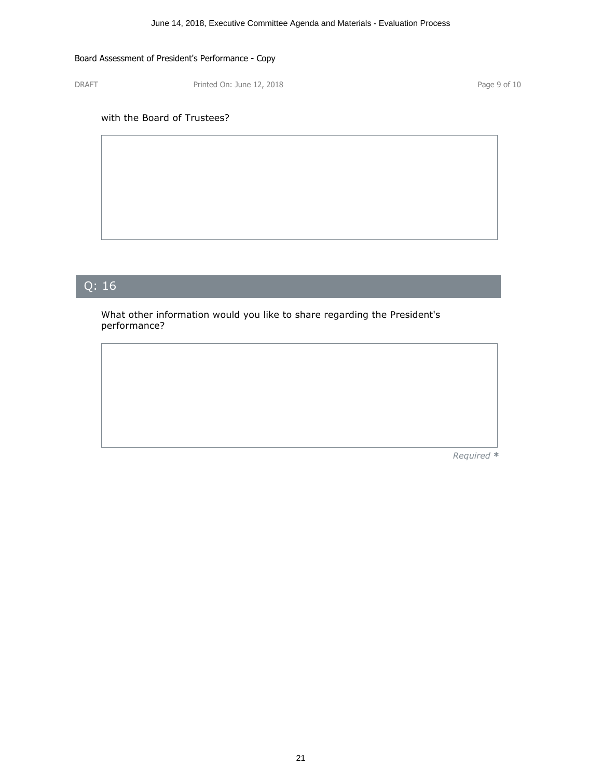DRAFT Printed On: June 12, 2018 Printed On: June 12, 2018

#### with the Board of Trustees?

## Q: <sup>16</sup>|

What other information would you like to share regarding the President's performance?

*Required \**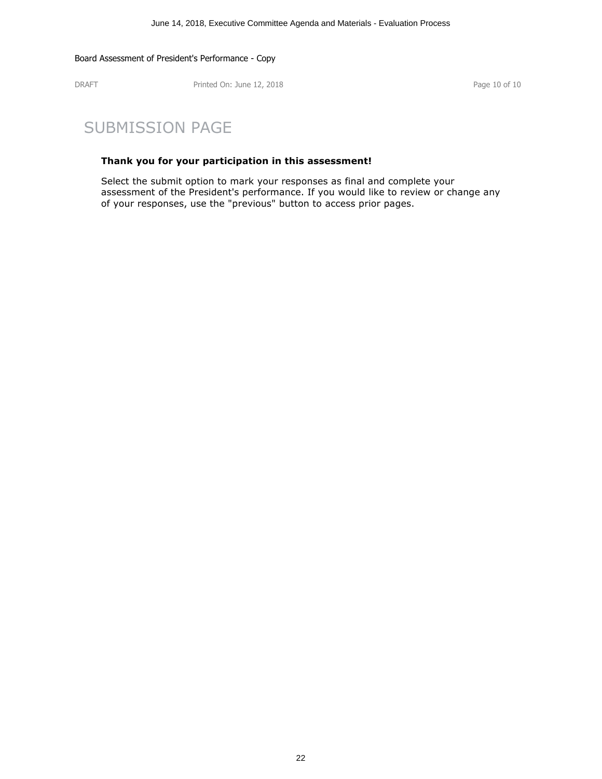DRAFT Printed On: June 12, 2018 Page 10 of 10

## SUBMISSION PAGE

#### **Thank you for your participation in this assessment!**

Select the submit option to mark your responses as final and complete your assessment of the President's performance. If you would like to review or change any of your responses, use the "previous" button to access prior pages.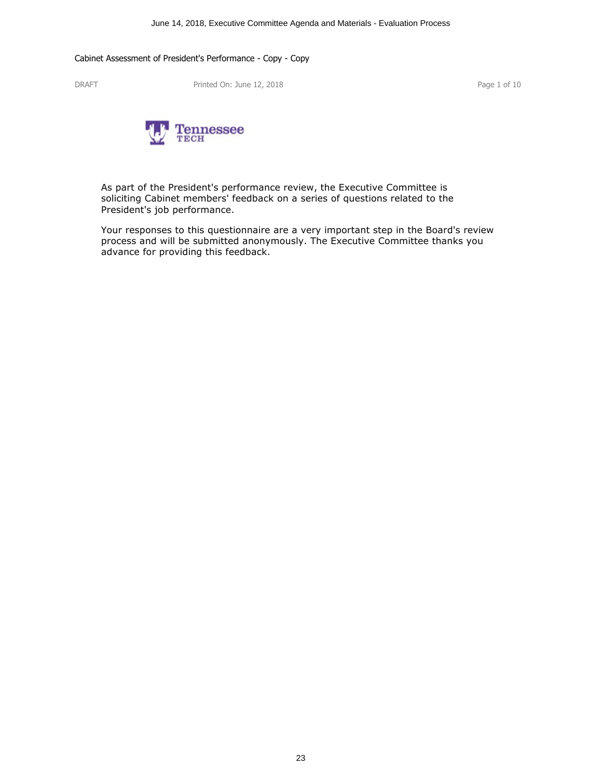DRAFT Printed On: June 12, 2018 Printed On: June 12, 2018



As part of the President's performance review, the Executive Committee is soliciting Cabinet members' feedback on a series of questions related to the President's job performance.

Your responses to this questionnaire are a very important step in the Board's review process and will be submitted anonymously. The Executive Committee thanks you advance for providing this feedback.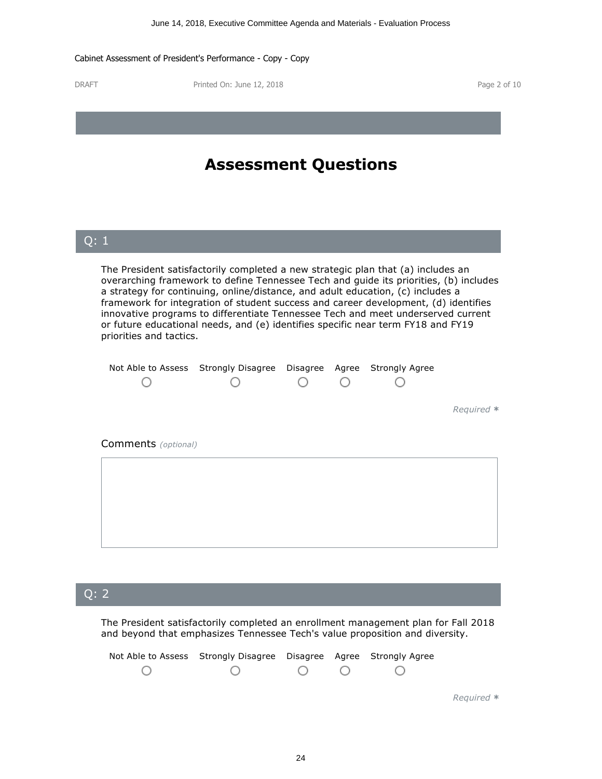DRAFT Printed On: June 12, 2018 Printed On: June 12, 2018

|                                                                                                                                                                                                                                                                                                                                                                                                                                                                                                                                                        | <b>Assessment Questions</b>                                        |  |            |
|--------------------------------------------------------------------------------------------------------------------------------------------------------------------------------------------------------------------------------------------------------------------------------------------------------------------------------------------------------------------------------------------------------------------------------------------------------------------------------------------------------------------------------------------------------|--------------------------------------------------------------------|--|------------|
| Q: 1                                                                                                                                                                                                                                                                                                                                                                                                                                                                                                                                                   |                                                                    |  |            |
| The President satisfactorily completed a new strategic plan that (a) includes an<br>overarching framework to define Tennessee Tech and guide its priorities, (b) includes<br>a strategy for continuing, online/distance, and adult education, (c) includes a<br>framework for integration of student success and career development, (d) identifies<br>innovative programs to differentiate Tennessee Tech and meet underserved current<br>or future educational needs, and (e) identifies specific near term FY18 and FY19<br>priorities and tactics. |                                                                    |  |            |
|                                                                                                                                                                                                                                                                                                                                                                                                                                                                                                                                                        | Not Able to Assess Strongly Disagree Disagree Agree Strongly Agree |  |            |
|                                                                                                                                                                                                                                                                                                                                                                                                                                                                                                                                                        |                                                                    |  | Required * |
| Comments (optional)                                                                                                                                                                                                                                                                                                                                                                                                                                                                                                                                    |                                                                    |  |            |
|                                                                                                                                                                                                                                                                                                                                                                                                                                                                                                                                                        |                                                                    |  |            |
|                                                                                                                                                                                                                                                                                                                                                                                                                                                                                                                                                        |                                                                    |  |            |
|                                                                                                                                                                                                                                                                                                                                                                                                                                                                                                                                                        |                                                                    |  |            |
|                                                                                                                                                                                                                                                                                                                                                                                                                                                                                                                                                        |                                                                    |  |            |

## Q: <sup>2</sup>|

The President satisfactorily completed an enrollment management plan for Fall 2018 and beyond that emphasizes Tennessee Tech's value proposition and diversity.

| Not Able to Assess Strongly Disagree Disagree Agree Strongly Agree |  |  |
|--------------------------------------------------------------------|--|--|
| $\bigcirc$                                                         |  |  |
|                                                                    |  |  |

*Required \**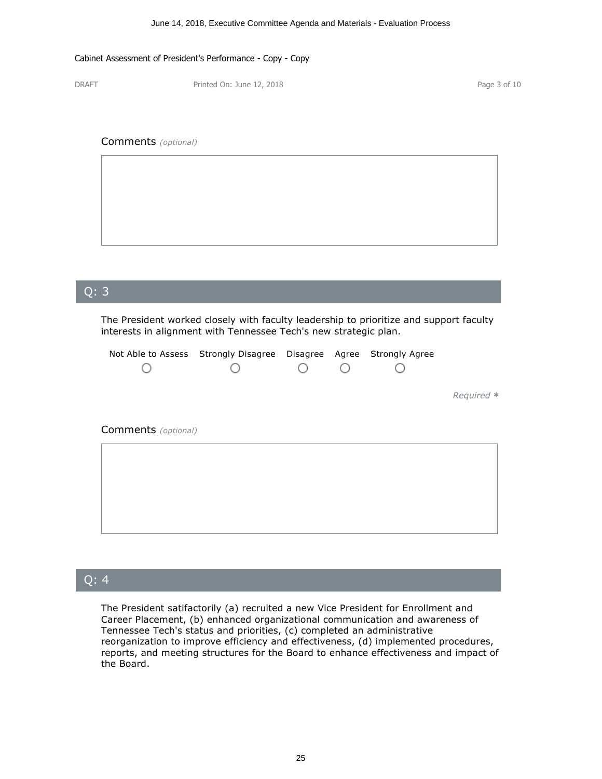DRAFT Printed On: June 12, 2018 Printed On: June 12, 2018

#### Comments *(optional)*



# Q: <sup>3</sup>| The President worked closely with faculty leadership to prioritize and support faculty interests in alignment with Tennessee Tech's new strategic plan. Not Able to Assess Strongly Disagree Disagree Agree Strongly Agree O O  $\bigcirc$ О О *Required \** Comments *(optional)*

### Q: <sup>4</sup>|

The President satifactorily (a) recruited a new Vice President for Enrollment and Career Placement, (b) enhanced organizational communication and awareness of Tennessee Tech's status and priorities, (c) completed an administrative reports, and meeting structures for the Board to enhance effectiveness and impact of the Board.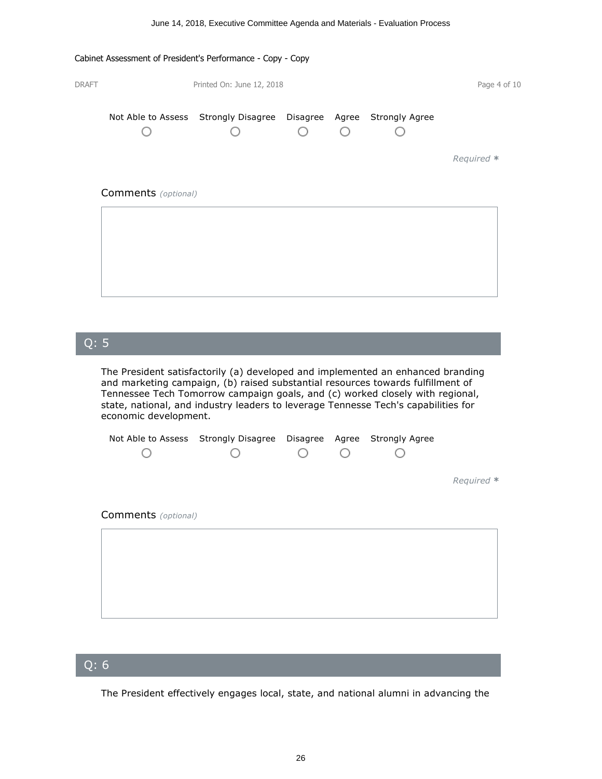| <b>DRAFT</b> |                     | Printed On: June 12, 2018                                          |  | Page 4 of 10 |
|--------------|---------------------|--------------------------------------------------------------------|--|--------------|
|              |                     | Not Able to Assess Strongly Disagree Disagree Agree Strongly Agree |  |              |
|              |                     |                                                                    |  | Required *   |
|              | Comments (optional) |                                                                    |  |              |
|              |                     |                                                                    |  |              |
|              |                     |                                                                    |  |              |
|              |                     |                                                                    |  |              |

## Q: <sup>5</sup>|

The President satisfactorily (a) developed and implemented an enhanced branding and marketing campaign, (b) raised substantial resources towards fulfillment of Tennessee Tech Tomorrow campaign goals, and (c) worked closely with regional, state, national, and industry leaders to leverage Tennesse Tech's capabilities for economic development.

| Not Able to Assess Strongly Disagree |     | Disagree Agree Strongly Agree |            |
|--------------------------------------|-----|-------------------------------|------------|
|                                      | ( ) |                               |            |
|                                      |     |                               |            |
|                                      |     |                               | Required * |
|                                      |     |                               |            |
| <b>Comments</b> (optional)           |     |                               |            |

## Q: <sup>6</sup>|

The President effectively engages local, state, and national alumni in advancing the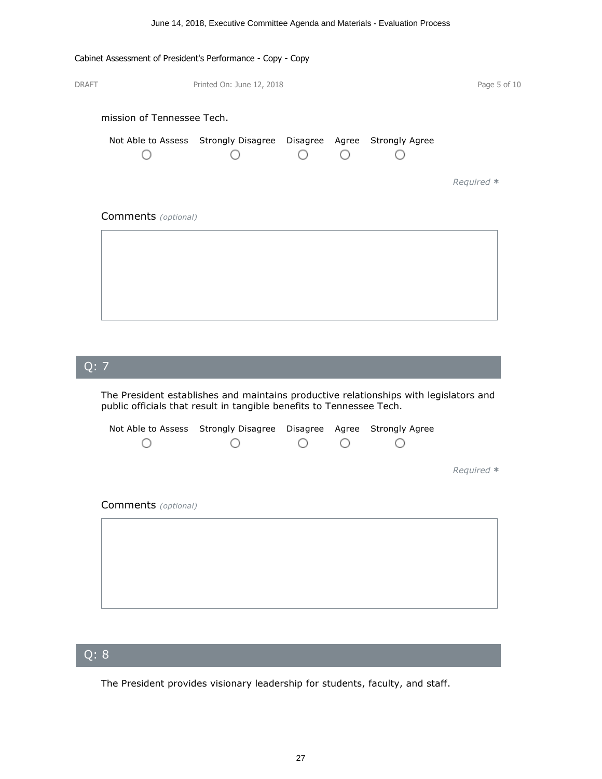# DRAFT Printed On: June 12, 2018 Printed On: June 12, 2018 mission of Tennessee Tech. Not Able to Assess Strongly Disagree Disagree Agree Strongly Agree  $\bigcirc$ O  $\bigcirc$ О О *Required \** Comments *(optional)*

#### Q: <sup>7</sup>|

The President establishes and maintains productive relationships with legislators and public officials that result in tangible benefits to Tennessee Tech.

|                            | Not Able to Assess Strongly Disagree |  | Disagree Agree Strongly Agree |            |
|----------------------------|--------------------------------------|--|-------------------------------|------------|
|                            |                                      |  |                               |            |
|                            |                                      |  |                               |            |
|                            |                                      |  |                               | Required * |
|                            |                                      |  |                               |            |
| <b>Comments</b> (optional) |                                      |  |                               |            |
|                            |                                      |  |                               |            |
|                            |                                      |  |                               |            |
|                            |                                      |  |                               |            |
|                            |                                      |  |                               |            |
|                            |                                      |  |                               |            |
|                            |                                      |  |                               |            |

### Q: <sup>8</sup>|

The President provides visionary leadership for students, faculty, and staff.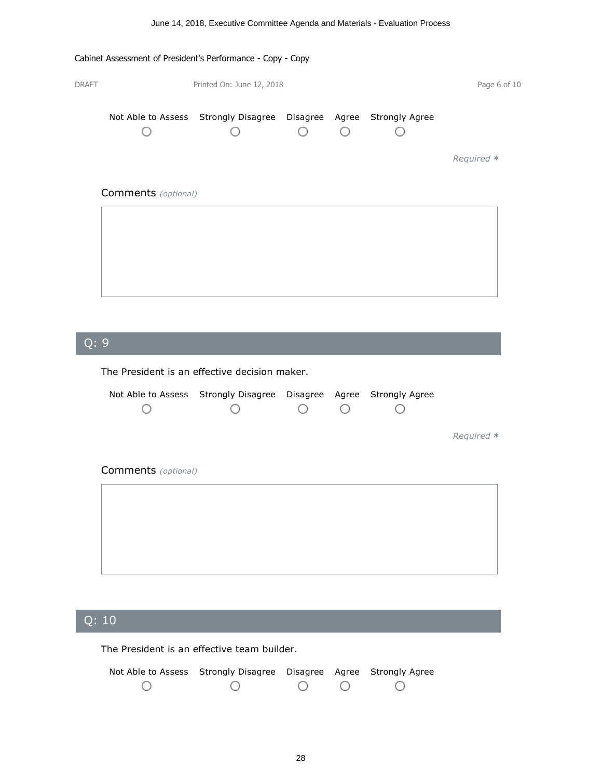# Cabinet Assessment of President's Performance - Copy - Copy DRAFT Printed On: June 12, 2018 Printed On: June 12, 2018 Not Able to Assess Strongly Disagree Disagree Agree Strongly Agree O  $\bigcirc$ O O О *Required \** Comments *(optional)*

## Q: <sup>9</sup>|

The President is an effective decision maker.

|                            | Not Able to Assess Strongly Disagree Disagree Agree Strongly Agree |  |            |
|----------------------------|--------------------------------------------------------------------|--|------------|
|                            |                                                                    |  | Required * |
| <b>Comments</b> (optional) |                                                                    |  |            |
|                            |                                                                    |  |            |
|                            |                                                                    |  |            |
|                            |                                                                    |  |            |

## Q: <sup>10</sup>|

The President is an effective team builder.

| Not Able to Assess Strongly Disagree Disagree Agree Strongly Agree |                 |  |  |
|--------------------------------------------------------------------|-----------------|--|--|
|                                                                    | $\circ$ $\circ$ |  |  |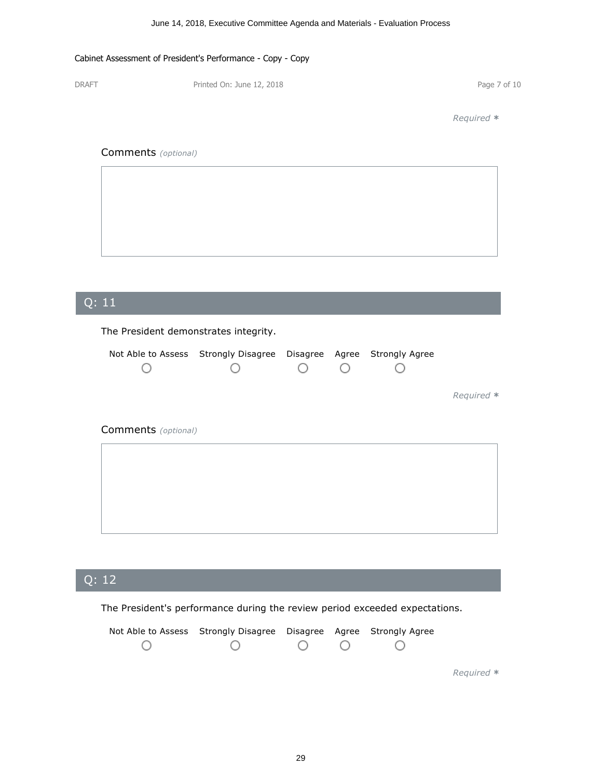DRAFT Printed On: June 12, 2018 Printed On: June 12, 2018

*Required \**

#### Comments *(optional)*

|  | ,我们也不会有什么?""我们的人,我们也不会有什么?""我们的人,我们也不会有什么?""我们的人,我们也不会有什么?""我们的人,我们也不会有什么?""我们的人 |                                                                                           |
|--|----------------------------------------------------------------------------------|-------------------------------------------------------------------------------------------|
|  |                                                                                  |                                                                                           |
|  |                                                                                  |                                                                                           |
|  |                                                                                  |                                                                                           |
|  |                                                                                  |                                                                                           |
|  |                                                                                  |                                                                                           |
|  |                                                                                  |                                                                                           |
|  |                                                                                  |                                                                                           |
|  |                                                                                  |                                                                                           |
|  |                                                                                  |                                                                                           |
|  |                                                                                  |                                                                                           |
|  |                                                                                  |                                                                                           |
|  |                                                                                  |                                                                                           |
|  |                                                                                  |                                                                                           |
|  |                                                                                  |                                                                                           |
|  |                                                                                  |                                                                                           |
|  |                                                                                  |                                                                                           |
|  |                                                                                  |                                                                                           |
|  |                                                                                  |                                                                                           |
|  |                                                                                  |                                                                                           |
|  |                                                                                  |                                                                                           |
|  |                                                                                  |                                                                                           |
|  |                                                                                  |                                                                                           |
|  |                                                                                  |                                                                                           |
|  |                                                                                  |                                                                                           |
|  | ,我们也不会不会。""我们的,我们也不会不会。""我们的,我们也不会不会不会。""我们的,我们也不会不会不会。""我们的,我们也不会不会不会。""我们的,我们也 | the control of the control of the control of the control of the control of the control of |
|  |                                                                                  |                                                                                           |

# Q: <sup>11</sup>| The President demonstrates integrity. Not Able to Assess Strongly Disagree Disagree Agree Strongly Agree  $\circ$  $\circ$ O O О *Required \** Comments *(optional)*

## Q: <sup>12</sup>|

The President's performance during the review period exceeded expectations.

| Not Able to Assess Strongly Disagree Disagree Agree Strongly Agree |  |  |
|--------------------------------------------------------------------|--|--|
| $\bigcirc$                                                         |  |  |

*Required \**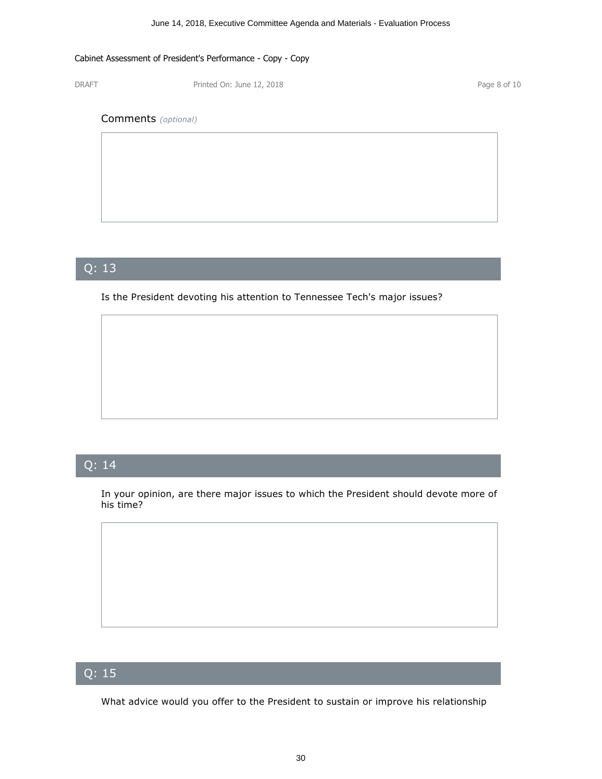DRAFT Printed On: June 12, 2018 Printed On: June 12, 2018

#### Comments *(optional)*

## Q: <sup>13</sup>|

Is the President devoting his attention to Tennessee Tech's major issues?

## Q: <sup>14</sup>|

In your opinion, are there major issues to which the President should devote more of his time?

## Q: <sup>15</sup>|

What advice would you offer to the President to sustain or improve his relationship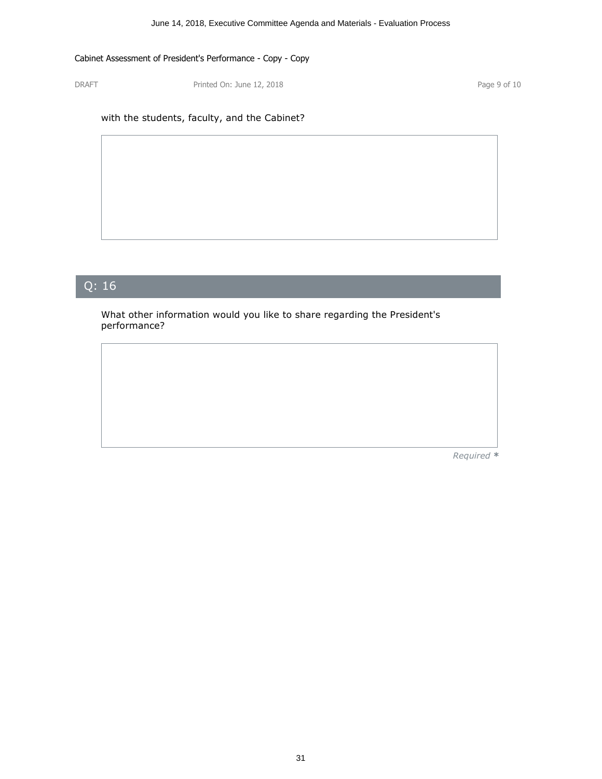DRAFT Printed On: June 12, 2018 Printed On: June 12, 2018

#### with the students, faculty, and the Cabinet?

## Q: <sup>16</sup>|

What other information would you like to share regarding the President's performance?

*Required \**